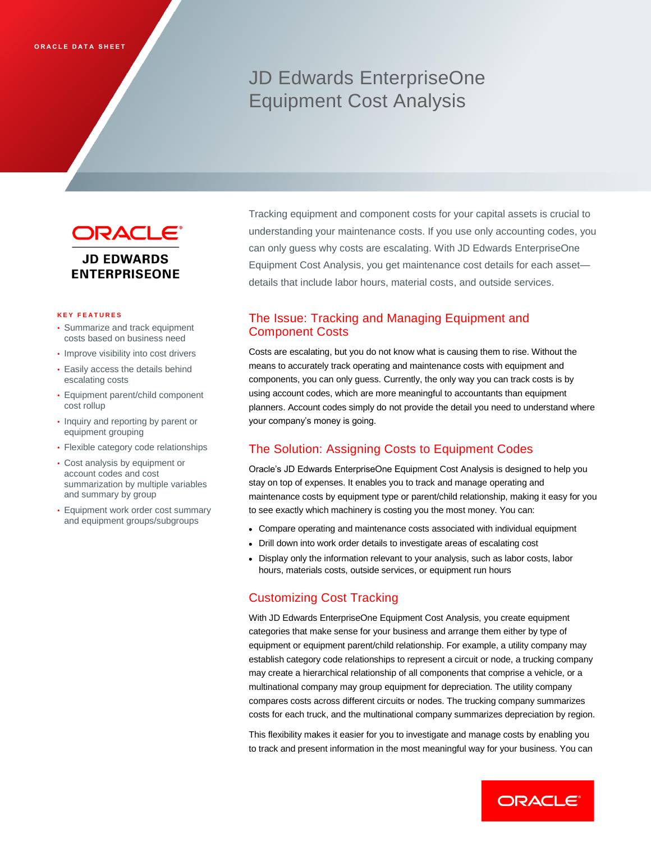# JD Edwards EnterpriseOne Equipment Cost Analysis



#### **K E Y F E A T U R E S**

- Summarize and track equipment costs based on business need
- Improve visibility into cost drivers
- Easily access the details behind escalating costs
- Equipment parent/child component cost rollup
- Inquiry and reporting by parent or equipment grouping
- Flexible category code relationships
- Cost analysis by equipment or account codes and cost summarization by multiple variables and summary by group
- Equipment work order cost summary and equipment groups/subgroups

Tracking equipment and component costs for your capital assets is crucial to understanding your maintenance costs. If you use only accounting codes, you can only guess why costs are escalating. With JD Edwards EnterpriseOne Equipment Cost Analysis, you get maintenance cost details for each asset details that include labor hours, material costs, and outside services.

# The Issue: Tracking and Managing Equipment and Component Costs

Costs are escalating, but you do not know what is causing them to rise. Without the means to accurately track operating and maintenance costs with equipment and components, you can only guess. Currently, the only way you can track costs is by using account codes, which are more meaningful to accountants than equipment planners. Account codes simply do not provide the detail you need to understand where your company's money is going.

## The Solution: Assigning Costs to Equipment Codes

Oracle's JD Edwards EnterpriseOne Equipment Cost Analysis is designed to help you stay on top of expenses. It enables you to track and manage operating and maintenance costs by equipment type or parent/child relationship, making it easy for you to see exactly which machinery is costing you the most money. You can:

- Compare operating and maintenance costs associated with individual equipment
- Drill down into work order details to investigate areas of escalating cost
- Display only the information relevant to your analysis, such as labor costs, labor hours, materials costs, outside services, or equipment run hours

## Customizing Cost Tracking

With JD Edwards EnterpriseOne Equipment Cost Analysis, you create equipment categories that make sense for your business and arrange them either by type of equipment or equipment parent/child relationship. For example, a utility company may establish category code relationships to represent a circuit or node, a trucking company may create a hierarchical relationship of all components that comprise a vehicle, or a multinational company may group equipment for depreciation. The utility company compares costs across different circuits or nodes. The trucking company summarizes costs for each truck, and the multinational company summarizes depreciation by region.

This flexibility makes it easier for you to investigate and manage costs by enabling you to track and present information in the most meaningful way for your business. You can